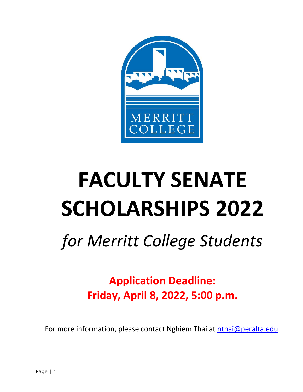

# **FACULTY SENATE SCHOLARSHIPS 2022**

## *for Merritt College Students*

**Application Deadline: Friday, April 8, 2022, 5:00 p.m.**

For more information, please contact Nghiem Thai at [nthai@peralta.edu.](mailto:nthai@peralta.edu?subject=Merritt%20College%20Faculty%20Senate%20Scholarship)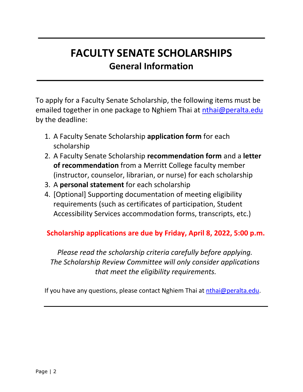## **FACULTY SENATE SCHOLARSHIPS General Information**

To apply for a Faculty Senate Scholarship, the following items must be emailed together in one package to Nghiem Thai at [nthai@peralta.edu](mailto:nthai@peralta.edu?subject=Merritt%20College%20Faculty%20Senate%20Scholarship) by the deadline:

- 1. A Faculty Senate Scholarship **application form** for each scholarship
- 2. A Faculty Senate Scholarship **recommendation form** and a **letter of recommendation** from a Merritt College faculty member (instructor, counselor, librarian, or nurse) for each scholarship
- 3. A **personal statement** for each scholarship
- 4. [Optional] Supporting documentation of meeting eligibility requirements (such as certificates of participation, Student Accessibility Services accommodation forms, transcripts, etc.)

#### **Scholarship applications are due by Friday, April 8, 2022, 5:00 p.m.**

*Please read the scholarship criteria carefully before applying. The Scholarship Review Committee will only consider applications that meet the eligibility requirements.*

If you have any questions, please contact Nghiem Thai at *nthai@peralta.edu.*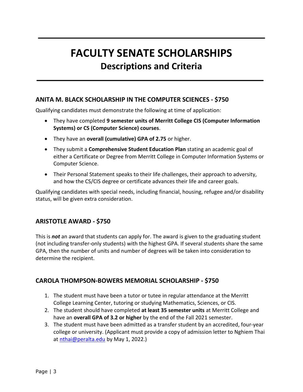## **FACULTY SENATE SCHOLARSHIPS Descriptions and Criteria**

#### **ANITA M. BLACK SCHOLARSHIP IN THE COMPUTER SCIENCES - \$750**

Qualifying candidates must demonstrate the following at time of application:

- They have completed **9 semester units of Merritt College CIS (Computer Information Systems) or CS (Computer Science) courses**.
- They have an **overall (cumulative) GPA of 2.75** or higher.
- They submit a **Comprehensive Student Education Plan** stating an academic goal of either a Certificate or Degree from Merritt College in Computer Information Systems or Computer Science.
- Their Personal Statement speaks to their life challenges, their approach to adversity, and how the CS/CIS degree or certificate advances their life and career goals.

Qualifying candidates with special needs, including financial, housing, refugee and/or disability status, will be given extra consideration.

#### **ARISTOTLE AWARD - \$750**

This is *not* an award that students can apply for. The award is given to the graduating student (not including transfer-only students) with the highest GPA. If several students share the same GPA, then the number of units and number of degrees will be taken into consideration to determine the recipient.

#### **CAROLA THOMPSON-BOWERS MEMORIAL SCHOLARSHIP - \$750**

- 1. The student must have been a tutor or tutee in regular attendance at the Merritt College Learning Center, tutoring or studying Mathematics, Sciences, or CIS.
- 2. The student should have completed **at least 35 semester units** at Merritt College and have an **overall GPA of 3.2 or higher** by the end of the Fall 2021 semester.
- 3. The student must have been admitted as a transfer student by an accredited, four-year college or university. (Applicant must provide a copy of admission letter to Nghiem Thai at [nthai@peralta.edu](mailto:nthai@peralta.edu?subject=Merritt%20College%20Faculty%20Senate%20Scholarship) by May 1, 2022.)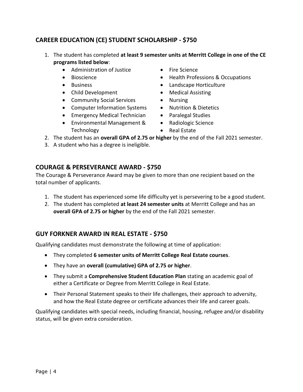#### **CAREER EDUCATION (CE) STUDENT SCHOLARSHIP - \$750**

- 1. The student has completed **at least 9 semester units at Merritt College in one of the CE programs listed below**:
	- Administration of Justice
	- Bioscience
	- Business
	- Child Development
	- Community Social Services
	- Computer Information Systems
	- Emergency Medical Technician
	- Environmental Management & Technology
- Fire Science
- Health Professions & Occupations
- Landscape Horticulture
- Medical Assisting
- Nursing
- Nutrition & Dietetics
- Paralegal Studies
- Radiologic Science
- Real Estate
- 2. The student has an **overall GPA of 2.75 or higher** by the end of the Fall 2021 semester.
- 3. A student who has a degree is ineligible.

#### **COURAGE & PERSEVERANCE AWARD - \$750**

The Courage & Perseverance Award may be given to more than one recipient based on the total number of applicants.

- 1. The student has experienced some life difficulty yet is persevering to be a good student.
- 2. The student has completed **at least 24 semester units** at Merritt College and has an **overall GPA of 2.75 or higher** by the end of the Fall 2021 semester.

#### **GUY FORKNER AWARD IN REAL ESTATE - \$750**

Qualifying candidates must demonstrate the following at time of application:

- They completed **6 semester units of Merritt College Real Estate courses**.
- They have an **overall (cumulative) GPA of 2.75 or higher**.
- They submit a **Comprehensive Student Education Plan** stating an academic goal of either a Certificate or Degree from Merritt College in Real Estate.
- Their Personal Statement speaks to their life challenges, their approach to adversity, and how the Real Estate degree or certificate advances their life and career goals.

Qualifying candidates with special needs, including financial, housing, refugee and/or disability status, will be given extra consideration.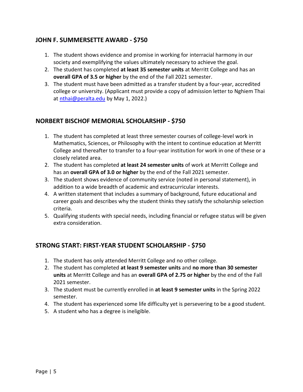#### **JOHN F. SUMMERSETTE AWARD - \$750**

- 1. The student shows evidence and promise in working for interracial harmony in our society and exemplifying the values ultimately necessary to achieve the goal.
- 2. The student has completed **at least 35 semester units** at Merritt College and has an **overall GPA of 3.5 or higher** by the end of the Fall 2021 semester.
- 3. The student must have been admitted as a transfer student by a four-year, accredited college or university. (Applicant must provide a copy of admission letter to Nghiem Thai at [nthai@peralta.edu](mailto:nthai@peralta.edu?subject=Merritt%20College%20Faculty%20Senate%20Scholarship) by May 1, 2022.)

#### **NORBERT BISCHOF MEMORIAL SCHOLARSHIP - \$750**

- 1. The student has completed at least three semester courses of college-level work in Mathematics, Sciences, or Philosophy with the intent to continue education at Merritt College and thereafter to transfer to a four-year institution for work in one of these or a closely related area.
- 2. The student has completed **at least 24 semester units** of work at Merritt College and has an **overall GPA of 3.0 or higher** by the end of the Fall 2021 semester.
- 3. The student shows evidence of community service (noted in personal statement), in addition to a wide breadth of academic and extracurricular interests.
- 4. A written statement that includes a summary of background, future educational and career goals and describes why the student thinks they satisfy the scholarship selection criteria.
- 5. Qualifying students with special needs, including financial or refugee status will be given extra consideration.

#### **STRONG START: FIRST-YEAR STUDENT SCHOLARSHIP - \$750**

- 1. The student has only attended Merritt College and no other college.
- 2. The student has completed **at least 9 semester units** and **no more than 30 semester units** at Merritt College and has an **overall GPA of 2.75 or higher** by the end of the Fall 2021 semester.
- 3. The student must be currently enrolled in **at least 9 semester units** in the Spring 2022 semester.
- 4. The student has experienced some life difficulty yet is persevering to be a good student.
- 5. A student who has a degree is ineligible.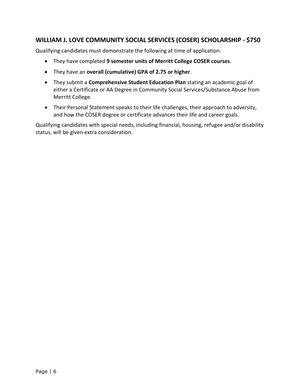#### **WILLIAM J. LOVE COMMUNITY SOCIAL SERVICES (COSER) SCHOLARSHIP - \$750**

Qualifying candidates must demonstrate the following at time of application:

- They have completed **9 semester units of Merritt College COSER courses**.
- They have an **overall (cumulative) GPA of 2.75 or higher**.
- They submit a **Comprehensive Student Education Plan** stating an academic goal of either a Certificate or AA Degree in Community Social Services/Substance Abuse from Merritt College.
- Their Personal Statement speaks to their life challenges, their approach to adversity, and how the COSER degree or certificate advances their life and career goals.

Qualifying candidates with special needs, including financial, housing, refugee and/or disability status, will be given extra consideration.